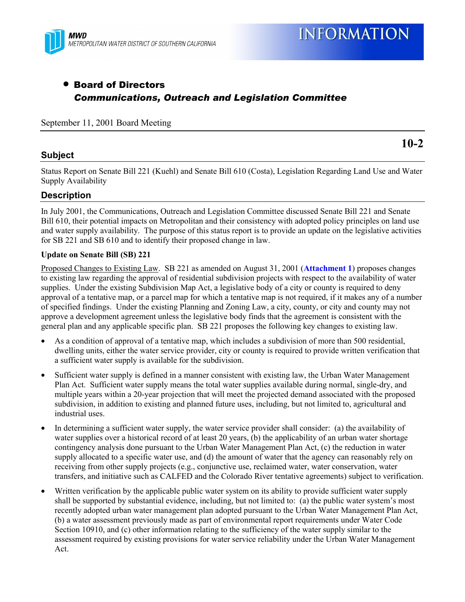

# • Board of Directors *Communications, Outreach and Legislation Committee*

September 11, 2001 Board Meeting

# **Subject**

**10-2**

Status Report on Senate Bill 221 (Kuehl) and Senate Bill 610 (Costa), Legislation Regarding Land Use and Water Supply Availability

# **Description**

In July 2001, the Communications, Outreach and Legislation Committee discussed Senate Bill 221 and Senate Bill 610, their potential impacts on Metropolitan and their consistency with adopted policy principles on land use and water supply availability. The purpose of this status report is to provide an update on the legislative activities for SB 221 and SB 610 and to identify their proposed change in law.

### **Update on Senate Bill (SB) 221**

Proposed Changes to Existing Law. SB 221 as amended on August 31, 2001 (**Attachment 1**) proposes changes to existing law regarding the approval of residential subdivision projects with respect to the availability of water supplies. Under the existing Subdivision Map Act, a legislative body of a city or county is required to deny approval of a tentative map, or a parcel map for which a tentative map is not required, if it makes any of a number of specified findings. Under the existing Planning and Zoning Law, a city, county, or city and county may not approve a development agreement unless the legislative body finds that the agreement is consistent with the general plan and any applicable specific plan. SB 221 proposes the following key changes to existing law.

- As a condition of approval of a tentative map, which includes a subdivision of more than 500 residential, dwelling units, either the water service provider, city or county is required to provide written verification that a sufficient water supply is available for the subdivision.
- Sufficient water supply is defined in a manner consistent with existing law, the Urban Water Management Plan Act. Sufficient water supply means the total water supplies available during normal, single-dry, and multiple years within a 20-year projection that will meet the projected demand associated with the proposed subdivision, in addition to existing and planned future uses, including, but not limited to, agricultural and industrial uses.
- In determining a sufficient water supply, the water service provider shall consider: (a) the availability of water supplies over a historical record of at least 20 years, (b) the applicability of an urban water shortage contingency analysis done pursuant to the Urban Water Management Plan Act, (c) the reduction in water supply allocated to a specific water use, and (d) the amount of water that the agency can reasonably rely on receiving from other supply projects (e.g., conjunctive use, reclaimed water, water conservation, water transfers, and initiative such as CALFED and the Colorado River tentative agreements) subject to verification.
- Written verification by the applicable public water system on its ability to provide sufficient water supply shall be supported by substantial evidence, including, but not limited to: (a) the public water system's most recently adopted urban water management plan adopted pursuant to the Urban Water Management Plan Act, (b) a water assessment previously made as part of environmental report requirements under Water Code Section 10910, and (c) other information relating to the sufficiency of the water supply similar to the assessment required by existing provisions for water service reliability under the Urban Water Management Act.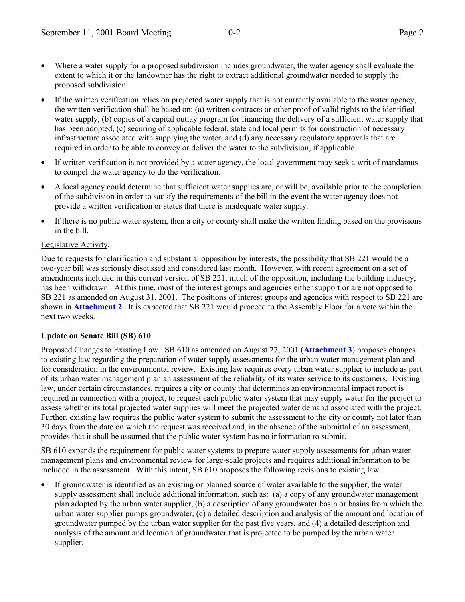- If the written verification relies on projected water supply that is not currently available to the water agency, the written verification shall be based on: (a) written contracts or other proof of valid rights to the identified water supply, (b) copies of a capital outlay program for financing the delivery of a sufficient water supply that has been adopted, (c) securing of applicable federal, state and local permits for construction of necessary infrastructure associated with supplying the water, and (d) any necessary regulatory approvals that are required in order to be able to convey or deliver the water to the subdivision, if applicable.
- If written verification is not provided by a water agency, the local government may seek a writ of mandamus to compel the water agency to do the verification.
- A local agency could determine that sufficient water supplies are, or will be, available prior to the completion of the subdivision in order to satisfy the requirements of the bill in the event the water agency does not provide a written verification or states that there is inadequate water supply.
- If there is no public water system, then a city or county shall make the written finding based on the provisions in the bill.

# Legislative Activity.

Due to requests for clarification and substantial opposition by interests, the possibility that SB 221 would be a two-year bill was seriously discussed and considered last month. However, with recent agreement on a set of amendments included in this current version of SB 221, much of the opposition, including the building industry, has been withdrawn. At this time, most of the interest groups and agencies either support or are not opposed to SB 221 as amended on August 31, 2001. The positions of interest groups and agencies with respect to SB 221 are shown in **Attachment 2**. It is expected that SB 221 would proceed to the Assembly Floor for a vote within the next two weeks.

### **Update on Senate Bill (SB) 610**

Proposed Changes to Existing Law. SB 610 as amended on August 27, 2001 (**Attachment 3**) proposes changes to existing law regarding the preparation of water supply assessments for the urban water management plan and for consideration in the environmental review. Existing law requires every urban water supplier to include as part of its urban water management plan an assessment of the reliability of its water service to its customers. Existing law, under certain circumstances, requires a city or county that determines an environmental impact report is required in connection with a project, to request each public water system that may supply water for the project to assess whether its total projected water supplies will meet the projected water demand associated with the project. Further, existing law requires the public water system to submit the assessment to the city or county not later than 30 days from the date on which the request was received and, in the absence of the submittal of an assessment, provides that it shall be assumed that the public water system has no information to submit.

SB 610 expands the requirement for public water systems to prepare water supply assessments for urban water management plans and environmental review for large-scale projects and requires additional information to be included in the assessment. With this intent, SB 610 proposes the following revisions to existing law.

If groundwater is identified as an existing or planned source of water available to the supplier, the water supply assessment shall include additional information, such as: (a) a copy of any groundwater management plan adopted by the urban water supplier, (b) a description of any groundwater basin or basins from which the urban water supplier pumps groundwater, (c) a detailed description and analysis of the amount and location of groundwater pumped by the urban water supplier for the past five years, and (4) a detailed description and analysis of the amount and location of groundwater that is projected to be pumped by the urban water supplier.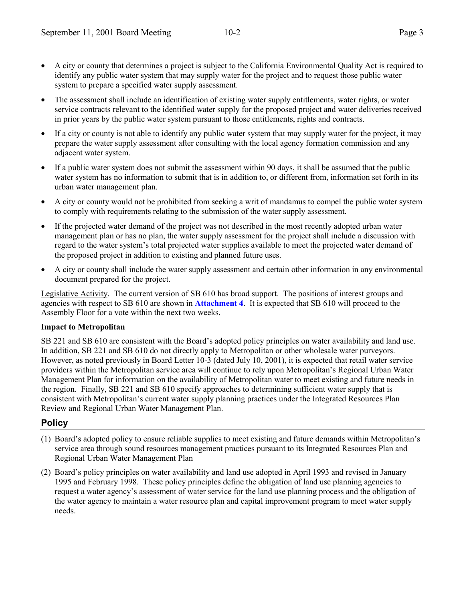- The assessment shall include an identification of existing water supply entitlements, water rights, or water service contracts relevant to the identified water supply for the proposed project and water deliveries received in prior years by the public water system pursuant to those entitlements, rights and contracts.
- If a city or county is not able to identify any public water system that may supply water for the project, it may prepare the water supply assessment after consulting with the local agency formation commission and any adjacent water system.
- If a public water system does not submit the assessment within 90 days, it shall be assumed that the public water system has no information to submit that is in addition to, or different from, information set forth in its urban water management plan.
- A city or county would not be prohibited from seeking a writ of mandamus to compel the public water system to comply with requirements relating to the submission of the water supply assessment.
- If the projected water demand of the project was not described in the most recently adopted urban water management plan or has no plan, the water supply assessment for the project shall include a discussion with regard to the water system's total projected water supplies available to meet the projected water demand of the proposed project in addition to existing and planned future uses.
- A city or county shall include the water supply assessment and certain other information in any environmental document prepared for the project.

Legislative Activity. The current version of SB 610 has broad support. The positions of interest groups and agencies with respect to SB 610 are shown in **Attachment 4**. It is expected that SB 610 will proceed to the Assembly Floor for a vote within the next two weeks.

# **Impact to Metropolitan**

SB 221 and SB 610 are consistent with the Board's adopted policy principles on water availability and land use. In addition, SB 221 and SB 610 do not directly apply to Metropolitan or other wholesale water purveyors. However, as noted previously in Board Letter 10-3 (dated July 10, 2001), it is expected that retail water service providers within the Metropolitan service area will continue to rely upon Metropolitanís Regional Urban Water Management Plan for information on the availability of Metropolitan water to meet existing and future needs in the region. Finally, SB 221 and SB 610 specify approaches to determining sufficient water supply that is consistent with Metropolitan's current water supply planning practices under the Integrated Resources Plan Review and Regional Urban Water Management Plan.

# **Policy**

- (1) Board's adopted policy to ensure reliable supplies to meet existing and future demands within Metropolitan's service area through sound resources management practices pursuant to its Integrated Resources Plan and Regional Urban Water Management Plan
- (2) Board's policy principles on water availability and land use adopted in April 1993 and revised in January 1995 and February 1998. These policy principles define the obligation of land use planning agencies to request a water agencyís assessment of water service for the land use planning process and the obligation of the water agency to maintain a water resource plan and capital improvement program to meet water supply needs.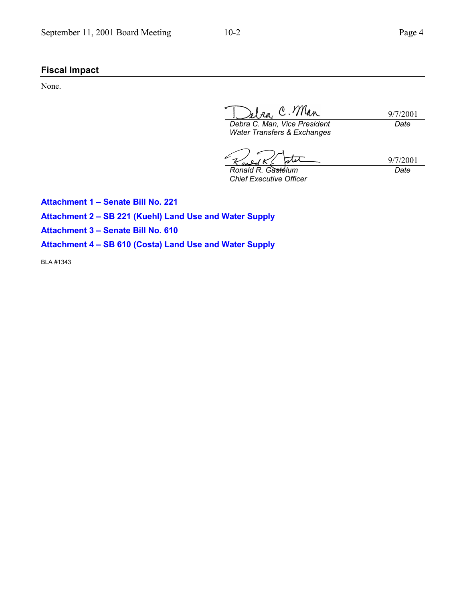# **Fiscal Impact**

None.

Ira, C. Man 9/7/2001

*Debra C. Man, Vice President Water Transfers & Exchanges*

*Date*

tx *Ronald R. Gastelum*

9/7/2001 *Date*

*Chief Executive Officer*

**Attachment 1 - Senate Bill No. 221** Attachment 2 - SB 221 (Kuehl) Land Use and Water Supply **Attachment 3 - Senate Bill No. 610** Attachment 4 - SB 610 (Costa) Land Use and Water Supply

BLA #1343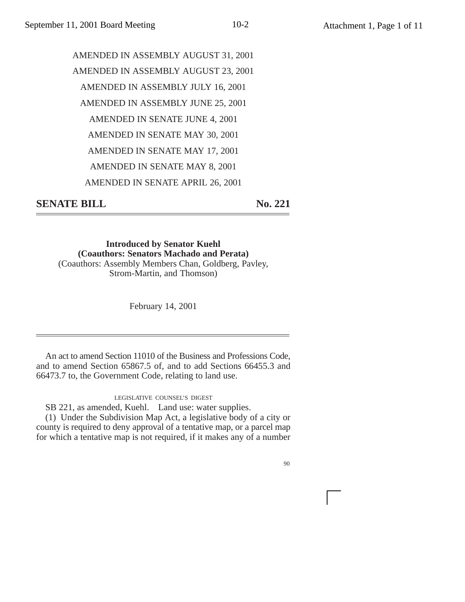# AMENDED IN ASSEMBLY AUGUST 31, 2001 AMENDED IN ASSEMBLY AUGUST 23, 2001 AMENDED IN ASSEMBLY JULY 16, 2001 AMENDED IN ASSEMBLY JUNE 25, 2001 AMENDED IN SENATE JUNE 4, 2001 AMENDED IN SENATE MAY 30, 2001 AMENDED IN SENATE MAY 17, 2001 AMENDED IN SENATE MAY 8, 2001 AMENDED IN SENATE APRIL 26, 2001

**SENATE BILL** No. 221

**Introduced by Senator Kuehl (Coauthors: Senators Machado and Perata)** (Coauthors: Assembly Members Chan, Goldberg, Pavley, Strom-Martin, and Thomson)

February 14, 2001

An act to amend Section 11010 of the Business and Professions Code, and to amend Section 65867.5 of, and to add Sections 66455.3 and 66473.7 to, the Government Code, relating to land use.

LEGISLATIVE COUNSEL'S DIGEST

SB 221, as amended, Kuehl. Land use: water supplies.

(1) Under the Subdivision Map Act, a legislative body of a city or county is required to deny approval of a tentative map, or a parcel map for which a tentative map is not required, if it makes any of a number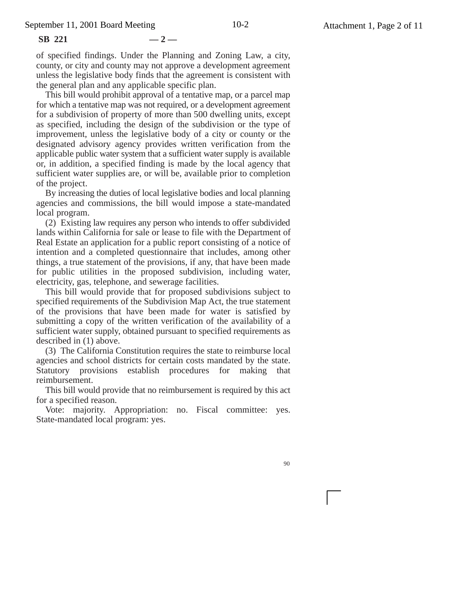**SB 221 — 2 —**

of specified findings. Under the Planning and Zoning Law, a city, county, or city and county may not approve a development agreement unless the legislative body finds that the agreement is consistent with the general plan and any applicable specific plan.

This bill would prohibit approval of a tentative map, or a parcel map for which a tentative map was not required, or a development agreement for a subdivision of property of more than 500 dwelling units, except as specified, including the design of the subdivision or the type of improvement, unless the legislative body of a city or county or the designated advisory agency provides written verification from the applicable public water system that a sufficient water supply is available or, in addition, a specified finding is made by the local agency that sufficient water supplies are, or will be, available prior to completion of the project.

By increasing the duties of local legislative bodies and local planning agencies and commissions, the bill would impose a state-mandated local program.

(2) Existing law requires any person who intends to offer subdivided lands within California for sale or lease to file with the Department of Real Estate an application for a public report consisting of a notice of intention and a completed questionnaire that includes, among other things, a true statement of the provisions, if any, that have been made for public utilities in the proposed subdivision, including water, electricity, gas, telephone, and sewerage facilities.

This bill would provide that for proposed subdivisions subject to specified requirements of the Subdivision Map Act, the true statement of the provisions that have been made for water is satisfied by submitting a copy of the written verification of the availability of a sufficient water supply, obtained pursuant to specified requirements as described in (1) above.

(3) The California Constitution requires the state to reimburse local agencies and school districts for certain costs mandated by the state. Statutory provisions establish procedures for making that reimbursement.

This bill would provide that no reimbursement is required by this act for a specified reason.

Vote: majority. Appropriation: no. Fiscal committee: yes. State-mandated local program: yes.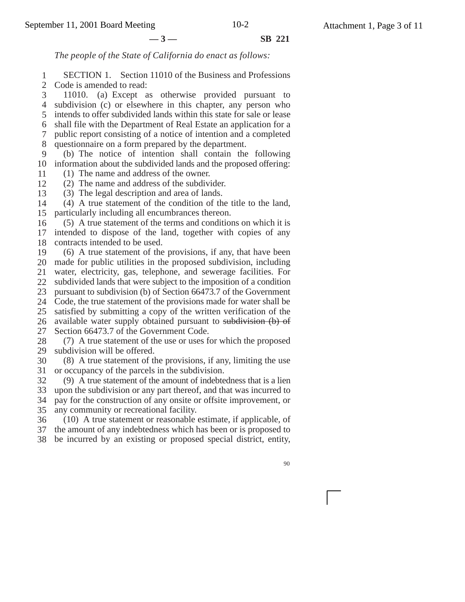**—3— SB 221**

*The people of the State of California do enact as follows:*

1 2 SECTION 1. Section 11010 of the Business and Professions Code is amended to read:

3 4 subdivision (c) or elsewhere in this chapter, any person who 5 6 7 8 11010. (a) Except as otherwise provided pursuant to intends to offer subdivided lands within this state for sale or lease shall file with the Department of Real Estate an application for a public report consisting of a notice of intention and a completed questionnaire on a form prepared by the department.

9 10 information about the subdivided lands and the proposed offering: (b) The notice of intention shall contain the following

- 11 (1) The name and address of the owner.
- 12 (2) The name and address of the subdivider.
- 13 (3) The legal description and area of lands.

14 15 (4) A true statement of the condition of the title to the land, particularly including all encumbrances thereon.

16 17 18 (5) A true statement of the terms and conditions on which it is intended to dispose of the land, together with copies of any contracts intended to be used.

19 20 21 22 23 24 25 26 27 (6) A true statement of the provisions, if any, that have been made for public utilities in the proposed subdivision, including water, electricity, gas, telephone, and sewerage facilities. For subdivided lands that were subject to the imposition of a condition pursuant to subdivision (b) of Section 66473.7 of the Government Code, the true statement of the provisions made for water shall be satisfied by submitting a copy of the written verification of the available water supply obtained pursuant to subdivision (b) of Section 66473.7 of the Government Code.

28 29 (7) A true statement of the use or uses for which the proposed subdivision will be offered.

30 31 (8) A true statement of the provisions, if any, limiting the use or occupancy of the parcels in the subdivision.

32 (9) A true statement of the amount of indebtedness that is a lien

33 34 35 upon the subdivision or any part thereof, and that was incurred to pay for the construction of any onsite or offsite improvement, or any community or recreational facility.

36 (10) A true statement or reasonable estimate, if applicable, of

37 the amount of any indebtedness which has been or is proposed to

38 be incurred by an existing or proposed special district, entity,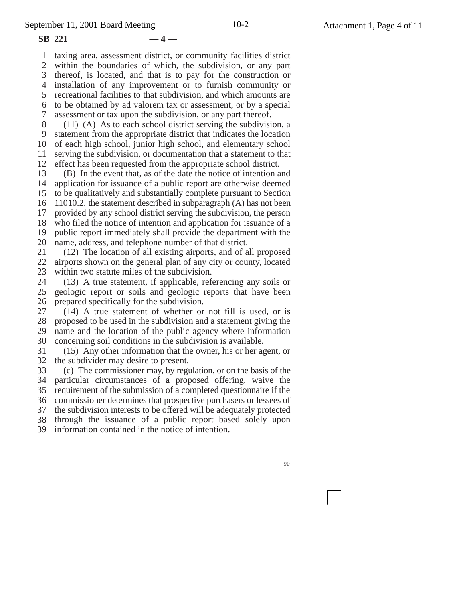**SB 221 — 4 —**

1 2 3 thereof, is located, and that is to pay for the construction or 4 installation of any improvement or to furnish community or 5 6 7 taxing area, assessment district, or community facilities district within the boundaries of which, the subdivision, or any part recreational facilities to that subdivision, and which amounts are to be obtained by ad valorem tax or assessment, or by a special assessment or tax upon the subdivision, or any part thereof.

8 9 10 11 12 (11) (A) As to each school district serving the subdivision, a statement from the appropriate district that indicates the location of each high school, junior high school, and elementary school serving the subdivision, or documentation that a statement to that effect has been requested from the appropriate school district.

13 14 15 16 17 18 19 20 (B) In the event that, as of the date the notice of intention and application for issuance of a public report are otherwise deemed to be qualitatively and substantially complete pursuant to Section 11010.2, the statement described in subparagraph (A) has not been provided by any school district serving the subdivision, the person who filed the notice of intention and application for issuance of a public report immediately shall provide the department with the name, address, and telephone number of that district.

21 22 23 (12) The location of all existing airports, and of all proposed airports shown on the general plan of any city or county, located within two statute miles of the subdivision.

24 25 26 (13) A true statement, if applicable, referencing any soils or geologic report or soils and geologic reports that have been prepared specifically for the subdivision.

27 28 29 30 (14) A true statement of whether or not fill is used, or is proposed to be used in the subdivision and a statement giving the name and the location of the public agency where information concerning soil conditions in the subdivision is available.

31 32 (15) Any other information that the owner, his or her agent, or the subdivider may desire to present.

33 34 35 36 (c) The commissioner may, by regulation, or on the basis of the particular circumstances of a proposed offering, waive the requirement of the submission of a completed questionnaire if the commissioner determines that prospective purchasers or lessees of

37 38 the subdivision interests to be offered will be adequately protected through the issuance of a public report based solely upon

39 information contained in the notice of intention.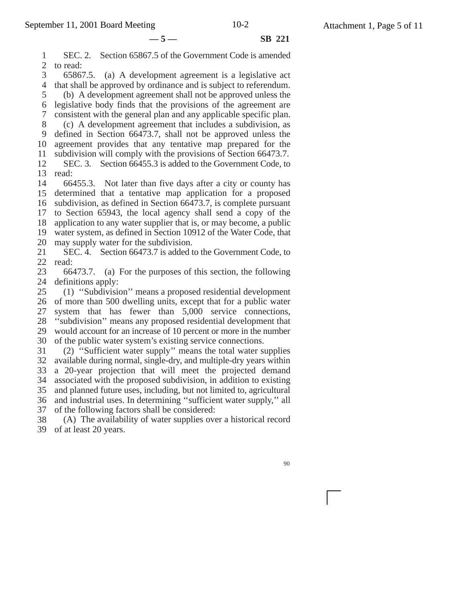**—5— SB 221**

1 2 3 4 5 6 7 SEC. 2. Section 65867.5 of the Government Code is amended to read: 65867.5. (a) A development agreement is a legislative act that shall be approved by ordinance and is subject to referendum. (b) A development agreement shall not be approved unless the legislative body finds that the provisions of the agreement are consistent with the general plan and any applicable specific plan.

8 9 10 11 (c) A development agreement that includes a subdivision, as defined in Section 66473.7, shall not be approved unless the agreement provides that any tentative map prepared for the subdivision will comply with the provisions of Section 66473.7.

12 13 read: SEC. 3. Section 66455.3 is added to the Government Code, to

14 15 16 17 18 19 20 66455.3. Not later than five days after a city or county has determined that a tentative map application for a proposed subdivision, as defined in Section 66473.7, is complete pursuant to Section 65943, the local agency shall send a copy of the application to any water supplier that is, or may become, a public water system, as defined in Section 10912 of the Water Code, that may supply water for the subdivision.

21 22 SEC. 4. Section 66473.7 is added to the Government Code, to read:

23 24 66473.7. (a) For the purposes of this section, the following definitions apply:

25 26 27 28 29 30 (1) ''Subdivision'' means a proposed residential development of more than 500 dwelling units, except that for a public water system that has fewer than 5,000 service connections, ''subdivision'' means any proposed residential development that would account for an increase of 10 percent or more in the number of the public water system's existing service connections.

31 32 33 34 35 36 (2) ''Sufficient water supply'' means the total water supplies available during normal, single-dry, and multiple-dry years within a 20-year projection that will meet the projected demand associated with the proposed subdivision, in addition to existing and planned future uses, including, but not limited to, agricultural and industrial uses. In determining ''sufficient water supply,'' all

37 of the following factors shall be considered:

38 39 of at least 20 years. (A) The availability of water supplies over a historical record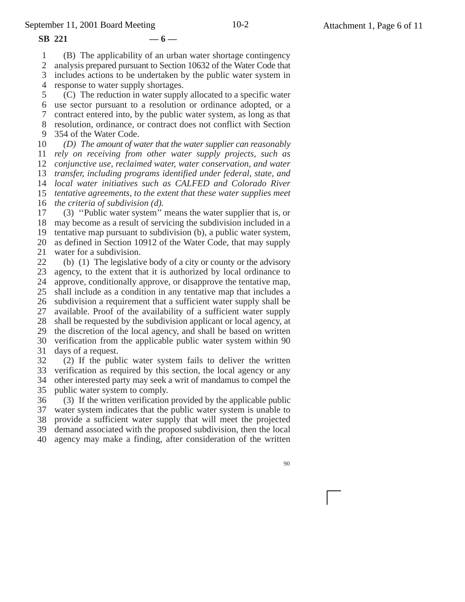#### **SB 221 — 6 —**

1 (B) The applicability of an urban water shortage contingency

2 analysis prepared pursuant to Section 10632 of the Water Code that

3 includes actions to be undertaken by the public water system in

4 response to water supply shortages.

5 6 use sector pursuant to a resolution or ordinance adopted, or a 7 8 9 (C) The reduction in water supply allocated to a specific water contract entered into, by the public water system, as long as that resolution, ordinance, or contract does not conflict with Section 354 of the Water Code.

10 11 12 13 14 *local water initiatives such as CALFED and Colorado River* 15 16 *the criteria of subdivision (d). (D) The amount of water that the water supplier can reasonably rely on receiving from other water supply projects, such as conjunctive use, reclaimed water, water conservation, and water transfer, including programs identified under federal, state, and tentative agreements, to the extent that these water supplies meet*

17 18 may become as a result of servicing the subdivision included in a 19 20 21 (3) ''Public water system'' means the water supplier that is, or tentative map pursuant to subdivision (b), a public water system, as defined in Section 10912 of the Water Code, that may supply water for a subdivision.

22 23 24 25 26 27 28 29 30 31 (b) (1) The legislative body of a city or county or the advisory agency, to the extent that it is authorized by local ordinance to approve, conditionally approve, or disapprove the tentative map, shall include as a condition in any tentative map that includes a subdivision a requirement that a sufficient water supply shall be available. Proof of the availability of a sufficient water supply shall be requested by the subdivision applicant or local agency, at the discretion of the local agency, and shall be based on written verification from the applicable public water system within 90 days of a request.

32 33 34 35 (2) If the public water system fails to deliver the written verification as required by this section, the local agency or any other interested party may seek a writ of mandamus to compel the public water system to comply.

36 37 38 39 40 (3) If the written verification provided by the applicable public water system indicates that the public water system is unable to provide a sufficient water supply that will meet the projected demand associated with the proposed subdivision, then the local agency may make a finding, after consideration of the written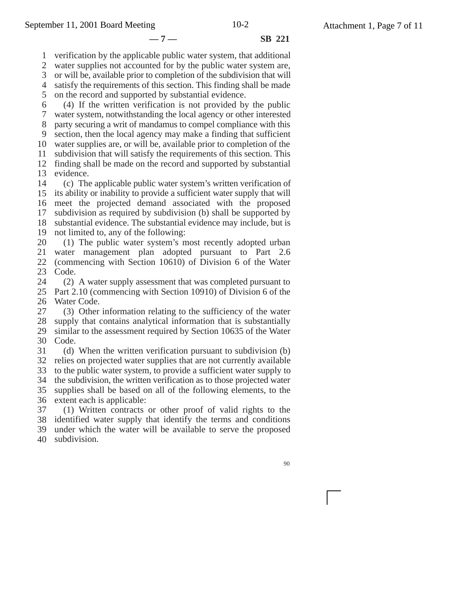**—7— SB 221**

1 verification by the applicable public water system, that additional

2 3 water supplies not accounted for by the public water system are, or will be, available prior to completion of the subdivision that will

4 satisfy the requirements of this section. This finding shall be made

5 on the record and supported by substantial evidence.

6 (4) If the written verification is not provided by the public

7 8 water system, notwithstanding the local agency or other interested

9 party securing a writ of mandamus to compel compliance with this section, then the local agency may make a finding that sufficient

10 water supplies are, or will be, available prior to completion of the

11 subdivision that will satisfy the requirements of this section. This

12 finding shall be made on the record and supported by substantial

13 evidence.

14 15 16 17 18 19 (c) The applicable public water system's written verification of its ability or inability to provide a sufficient water supply that will meet the projected demand associated with the proposed subdivision as required by subdivision (b) shall be supported by substantial evidence. The substantial evidence may include, but is not limited to, any of the following:

20 21 22 (1) The public water system's most recently adopted urban water management plan adopted pursuant to Part 2.6 (commencing with Section 10610) of Division 6 of the Water

23 Code.

24 25 26 (2) A water supply assessment that was completed pursuant to Part 2.10 (commencing with Section 10910) of Division 6 of the Water Code.

27 28 29 30 (3) Other information relating to the sufficiency of the water supply that contains analytical information that is substantially similar to the assessment required by Section 10635 of the Water Code.

31 32 33 34 35 36 (d) When the written verification pursuant to subdivision (b) relies on projected water supplies that are not currently available to the public water system, to provide a sufficient water supply to the subdivision, the written verification as to those projected water supplies shall be based on all of the following elements, to the extent each is applicable:

37 38 39 40 (1) Written contracts or other proof of valid rights to the identified water supply that identify the terms and conditions under which the water will be available to serve the proposed subdivision.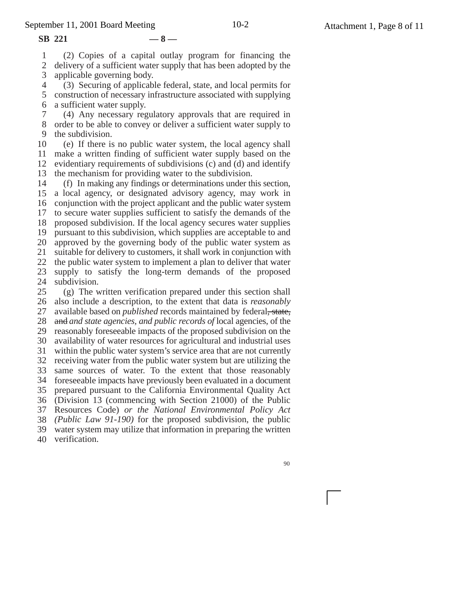**SB 221 — 8 —**

1 2 3 (2) Copies of a capital outlay program for financing the delivery of a sufficient water supply that has been adopted by the applicable governing body.

4 5 6 (3) Securing of applicable federal, state, and local permits for construction of necessary infrastructure associated with supplying a sufficient water supply.

7 8 9 (4) Any necessary regulatory approvals that are required in order to be able to convey or deliver a sufficient water supply to the subdivision.

10 11 12 13 (e) If there is no public water system, the local agency shall make a written finding of sufficient water supply based on the evidentiary requirements of subdivisions (c) and (d) and identify the mechanism for providing water to the subdivision.

14 15 16 17 18 19 20 21 22 23 24 (f) In making any findings or determinations under this section, a local agency, or designated advisory agency, may work in conjunction with the project applicant and the public water system to secure water supplies sufficient to satisfy the demands of the proposed subdivision. If the local agency secures water supplies pursuant to this subdivision, which supplies are acceptable to and approved by the governing body of the public water system as suitable for delivery to customers, it shall work in conjunction with the public water system to implement a plan to deliver that water supply to satisfy the long-term demands of the proposed subdivision.

25 26 27 28 29 30 31 32 33 34 foreseeable impacts have previously been evaluated in a document 35 36 (Division 13 (commencing with Section 21000) of the Public 37 38 *(Public Law 91-190)* for the proposed subdivision, the public 39 40 (g) The written verification prepared under this section shall also include a description, to the extent that data is *reasonably* available based on *published* records maintained by federal, state, and *and state agencies, and public records of* local agencies, of the reasonably foreseeable impacts of the proposed subdivision on the availability of water resources for agricultural and industrial uses within the public water system's service area that are not currently receiving water from the public water system but are utilizing the same sources of water. To the extent that those reasonably prepared pursuant to the California Environmental Quality Act Resources Code) *or the National Environmental Policy Act* water system may utilize that information in preparing the written verification.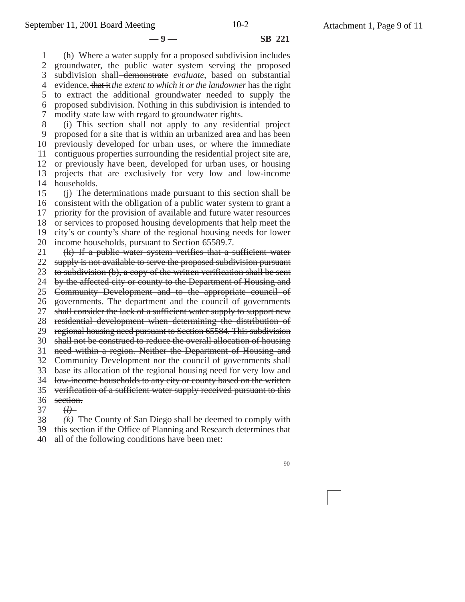**—9— SB 221**

1 2 3 4 5 6 7 (h) Where a water supply for a proposed subdivision includes groundwater, the public water system serving the proposed subdivision shall demonstrate *evaluate*, based on substantial evidence, that it*the extent to which it or the landowner* has the right to extract the additional groundwater needed to supply the proposed subdivision. Nothing in this subdivision is intended to modify state law with regard to groundwater rights.

8 9 10 11 12 13 14 (i) This section shall not apply to any residential project proposed for a site that is within an urbanized area and has been previously developed for urban uses, or where the immediate contiguous properties surrounding the residential project site are, or previously have been, developed for urban uses, or housing projects that are exclusively for very low and low-income households.

15 16 17 18 19 20 (j) The determinations made pursuant to this section shall be consistent with the obligation of a public water system to grant a priority for the provision of available and future water resources or services to proposed housing developments that help meet the city's or county's share of the regional housing needs for lower income households, pursuant to Section 65589.7.

21 22 23 (k) If a public water system verifies that a sufficient water supply is not available to serve the proposed subdivision pursuant to subdivision (b), a copy of the written verification shall be sent

24 by the affected city or county to the Department of Housing and

25 Community Development and to the appropriate council of

26 governments. The department and the council of governments

27 shall consider the lack of a sufficient water supply to support new

28 residential development when determining the distribution of

29 regional housing need pursuant to Section 65584. This subdivision

30 shall not be construed to reduce the overall allocation of housing

31 need within a region. Neither the Department of Housing and

32 Community Development nor the council of governments shall

33 base its allocation of the regional housing need for very low and

34 low-income households to any city or county based on the written

35 verification of a sufficient water supply received pursuant to this

36 section.

37 (*l)*

38 *(k)* The County of San Diego shall be deemed to comply with

39 this section if the Office of Planning and Research determines that

40 all of the following conditions have been met: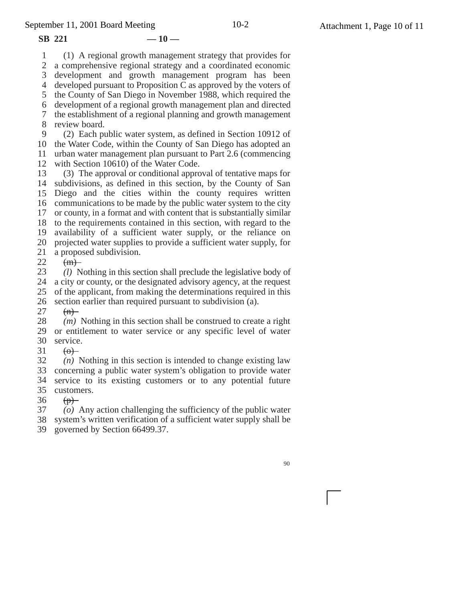1 2 3 4 developed pursuant to Proposition C as approved by the voters of  $SB$  221  $-10$  — (1) A regional growth management strategy that provides for a comprehensive regional strategy and a coordinated economic development and growth management program has been

5 the County of San Diego in November 1988, which required the 6 7 8 development of a regional growth management plan and directed the establishment of a regional planning and growth management review board.

9 10 the Water Code, within the County of San Diego has adopted an 11 12 (2) Each public water system, as defined in Section 10912 of urban water management plan pursuant to Part 2.6 (commencing with Section 10610) of the Water Code.

13 14 subdivisions, as defined in this section, by the County of San 15 16 communications to be made by the public water system to the city 17 18 to the requirements contained in this section, with regard to the 19 20 21 (3) The approval or conditional approval of tentative maps for Diego and the cities within the county requires written or county, in a format and with content that is substantially similar availability of a sufficient water supply, or the reliance on projected water supplies to provide a sufficient water supply, for a proposed subdivision.

22  $(m)$ 

23 *(l)* Nothing in this section shall preclude the legislative body of

24 a city or county, or the designated advisory agency, at the request

25 of the applicant, from making the determinations required in this

26 section earlier than required pursuant to subdivision (a).

27  $(n)$ 

28 29 or entitlement to water service or any specific level of water 30 *(m)* Nothing in this section shall be construed to create a right service.

31  $\left(\Theta\right)$ 

32 33 34 service to its existing customers or to any potential future 35 customers. *(n)* Nothing in this section is intended to change existing law concerning a public water system's obligation to provide water

36  $(p)$ 

37 *(o)* Any action challenging the sufficiency of the public water

38 39 system's written verification of a sufficient water supply shall be governed by Section 66499.37.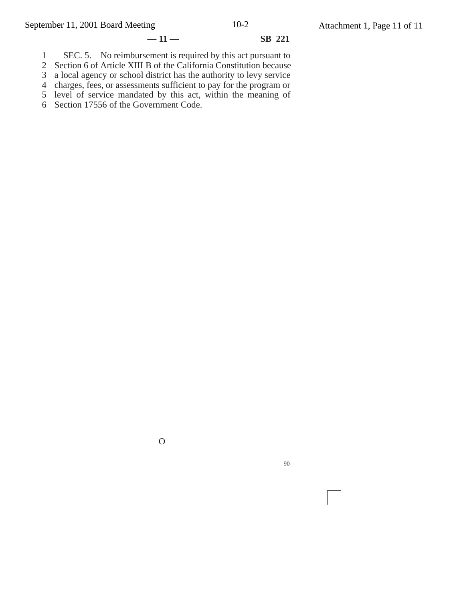# **— 11 — SB 221**

 SEC. 5. No reimbursement is required by this act pursuant to

Section 6 of Article XIII B of the California Constitution because

a local agency or school district has the authority to levy service

 charges, fees, or assessments sufficient to pay for the program or level of service mandated by this act, within the meaning of

Section 17556 of the Government Code.

O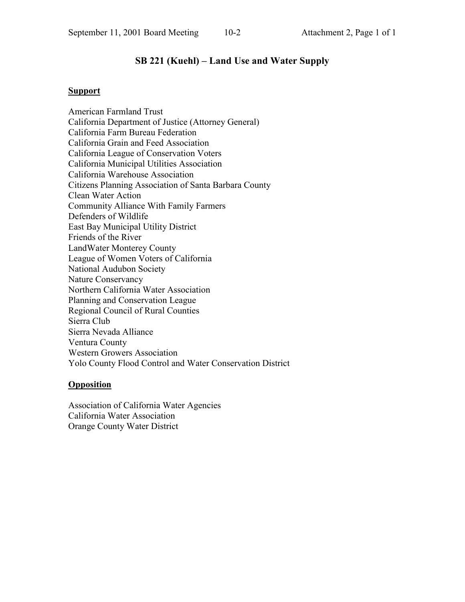# **SB 221 (Kuehl) – Land Use and Water Supply**

# **Support**

American Farmland Trust California Department of Justice (Attorney General) California Farm Bureau Federation California Grain and Feed Association California League of Conservation Voters California Municipal Utilities Association California Warehouse Association Citizens Planning Association of Santa Barbara County Clean Water Action Community Alliance With Family Farmers Defenders of Wildlife East Bay Municipal Utility District Friends of the River LandWater Monterey County League of Women Voters of California National Audubon Society Nature Conservancy Northern California Water Association Planning and Conservation League Regional Council of Rural Counties Sierra Club Sierra Nevada Alliance Ventura County Western Growers Association Yolo County Flood Control and Water Conservation District

# **Opposition**

Association of California Water Agencies California Water Association Orange County Water District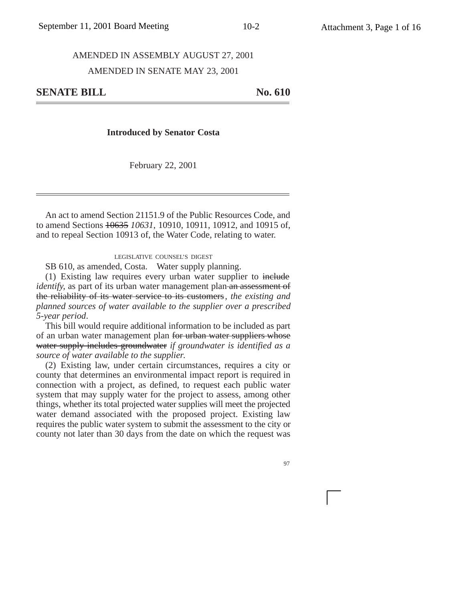#### AMENDED IN ASSEMBLY AUGUST 27, 2001

#### AMENDED IN SENATE MAY 23, 2001

**SENATE BILL** No. 610

#### **Introduced by Senator Costa**

February 22, 2001

An act to amend Section 21151.9 of the Public Resources Code, and to amend Sections 10635 *10631*, 10910, 10911, 10912, and 10915 of, and to repeal Section 10913 of, the Water Code, relating to water.

#### LEGISLATIVE COUNSEL'S DIGEST

SB 610, as amended, Costa. Water supply planning.

(1) Existing law requires every urban water supplier to include *identify*, as part of its urban water management plan an assessment of the reliability of its water service to its customers*, the existing and planned sources of water available to the supplier over a prescribed 5-year period*.

This bill would require additional information to be included as part of an urban water management plan for urban water suppliers whose water supply includes groundwater *if groundwater is identified as a source of water available to the supplier*.

(2) Existing law, under certain circumstances, requires a city or county that determines an environmental impact report is required in connection with a project, as defined, to request each public water system that may supply water for the project to assess, among other things, whether its total projected water supplies will meet the projected water demand associated with the proposed project. Existing law requires the public water system to submit the assessment to the city or county not later than 30 days from the date on which the request was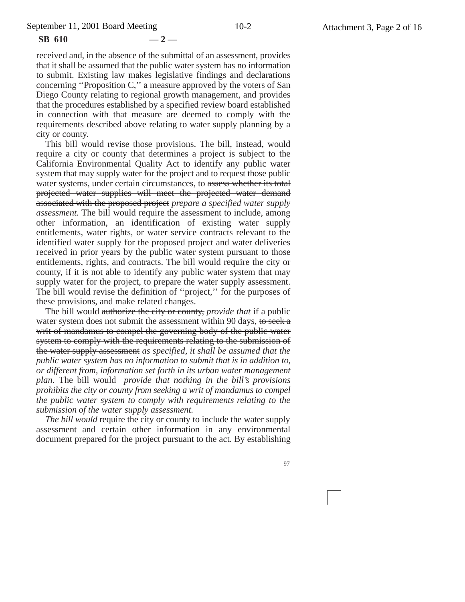#### **SB 610 — 2 —**

received and, in the absence of the submittal of an assessment, provides that it shall be assumed that the public water system has no information to submit. Existing law makes legislative findings and declarations concerning ''Proposition C,'' a measure approved by the voters of San Diego County relating to regional growth management, and provides that the procedures established by a specified review board established in connection with that measure are deemed to comply with the requirements described above relating to water supply planning by a city or county.

This bill would revise those provisions. The bill, instead, would require a city or county that determines a project is subject to the California Environmental Quality Act to identify any public water system that may supply water for the project and to request those public water systems, under certain circumstances, to assess whether its total projected water supplies will meet the projected water demand associated with the proposed project *prepare a specified water supply assessment*. The bill would require the assessment to include, among other information, an identification of existing water supply entitlements, water rights, or water service contracts relevant to the identified water supply for the proposed project and water deliveries received in prior years by the public water system pursuant to those entitlements, rights, and contracts. The bill would require the city or county, if it is not able to identify any public water system that may supply water for the project, to prepare the water supply assessment. The bill would revise the definition of ''project,'' for the purposes of these provisions, and make related changes.

The bill would authorize the city or county, *provide that* if a public water system does not submit the assessment within 90 days, to seek a writ of mandamus to compel the governing body of the public water system to comply with the requirements relating to the submission of the water supply assessment *as specified, it shall be assumed that the public water system has no information to submit that is in addition to, or different from, information set forth in its urban water management plan*. The bill would *provide that nothing in the bill's provisions prohibits the city or county from seeking a writ of mandamus to compel the public water system to comply with requirements relating to the submission of the water supply assessment.*

*The bill would* require the city or county to include the water supply assessment and certain other information in any environmental document prepared for the project pursuant to the act. By establishing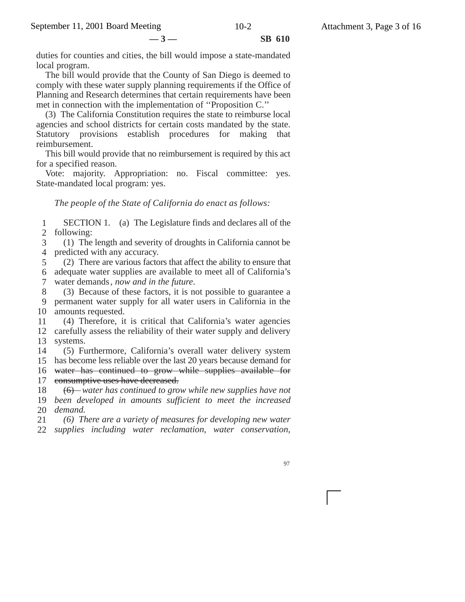duties for counties and cities, the bill would impose a state-mandated local program.

The bill would provide that the County of San Diego is deemed to comply with these water supply planning requirements if the Office of Planning and Research determines that certain requirements have been met in connection with the implementation of ''Proposition C.''

(3) The California Constitution requires the state to reimburse local agencies and school districts for certain costs mandated by the state. Statutory provisions establish procedures for making that reimbursement.

This bill would provide that no reimbursement is required by this act for a specified reason.

Vote: majority. Appropriation: no. Fiscal committee: yes. State-mandated local program: yes.

*The people of the State of California do enact as follows:*

1 2 SECTION 1. (a) The Legislature finds and declares all of the following:

3 4 (1) The length and severity of droughts in California cannot be predicted with any accuracy.

5 6 adequate water supplies are available to meet all of California's 7 (2) There are various factors that affect the ability to ensure that water demands*, now and in the future*.

8 9 10 amounts requested. (3) Because of these factors, it is not possible to guarantee a permanent water supply for all water users in California in the

11 12 carefully assess the reliability of their water supply and delivery 13 (4) Therefore, it is critical that California's water agencies systems.

14 15 has become less reliable over the last 20 years because demand for 16 water has continued to grow while supplies available for 17 eonsumptive uses have decreased. (5) Furthermore, California's overall water delivery system

18 19 *been developed in amounts sufficient to meet the increased* 20 *demand.* (6) *water has continued to grow while new supplies have not*

21 22 *supplies including water reclamation, water conservation, (6) There are a variety of measures for developing new water*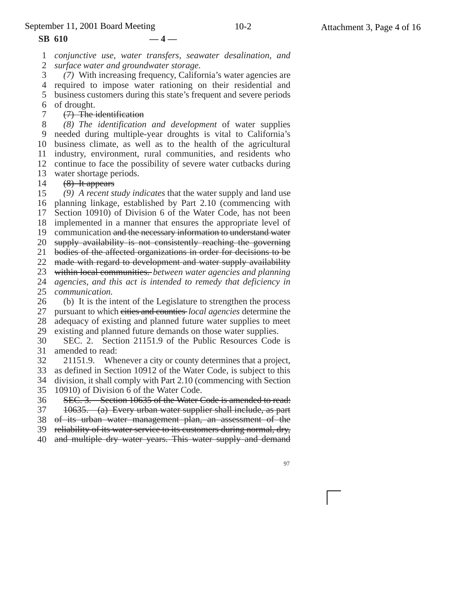#### **SB 610 — 4 —**

7

1 2 *conjunctive use, water transfers, seawater desalination, and surface water and groundwater storage.*

3 *(7)* With increasing frequency, California's water agencies are

4 required to impose water rationing on their residential and 5 business customers during this state's frequent and severe periods 6 of drought.

#### (7) The identification

8 9 10 11 12 13 *(8) The identification and development* of water supplies needed during multiple-year droughts is vital to California's business climate, as well as to the health of the agricultural industry, environment, rural communities, and residents who continue to face the possibility of severe water cutbacks during water shortage periods.

14 (8) It appears

15 16 planning linkage, established by Part 2.10 (commencing with 17 *(9) A recent study indicates* that the water supply and land use Section 10910) of Division 6 of the Water Code, has not been

18 implemented in a manner that ensures the appropriate level of

19 communication and the necessary information to understand water

20 supply availability is not consistently reaching the governing

21 bodies of the affected organizations in order for decisions to be

22 made with regard to development and water supply availability

23 within local communities. *between water agencies and planning*

24 25 *agencies, and this act is intended to remedy that deficiency in communication.*

26 27 28 29 (b) It is the intent of the Legislature to strengthen the process pursuant to which cities and counties *local agencies* determine the adequacy of existing and planned future water supplies to meet existing and planned future demands on those water supplies.

30 31 SEC. 2. Section 21151.9 of the Public Resources Code is amended to read:

32 21151.9. Whenever a city or county determines that a project,

33 34 as defined in Section 10912 of the Water Code, is subject to this division, it shall comply with Part 2.10 (commencing with Section

35 10910) of Division 6 of the Water Code.

36 SEC. 3. Section 10635 of the Water Code is amended to read:

37 10635. (a) Every urban water supplier shall include, as part

38 of its urban water management plan, an assessment of the

39 reliability of its water service to its customers during normal, dry,

40 and multiple dry water years. This water supply and demand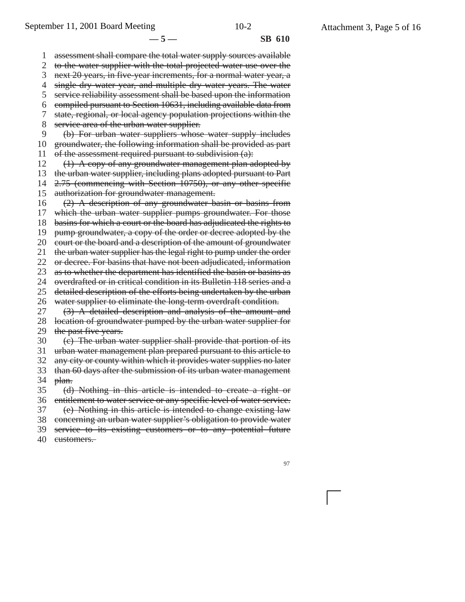**—5— SB 610**

1 2 3 4 5 6 7 8 9 10 11 12 13 14 15 16 17 18 19 20 21 22 23 24 25 26 27 28 29 30 31 32 33 34 35 36 37 38 39 assessment shall compare the total water supply sources available to the water supplier with the total projected water use over the next 20 years, in five-year increments, for a normal water year, a single dry water year, and multiple dry water years. The water service reliability assessment shall be based upon the information compiled pursuant to Section 10631, including available data from state, regional, or local agency population projections within the service area of the urban water supplier. (b) For urban water suppliers whose water supply includes groundwater, the following information shall be provided as part of the assessment required pursuant to subdivision (a): (1) A copy of any groundwater management plan adopted by the urban water supplier, including plans adopted pursuant to Part 2.75 (commencing with Section 10750), or any other specific authorization for groundwater management. (2) A description of any groundwater basin or basins from which the urban water supplier pumps groundwater. For those basins for which a court or the board has adjudicated the rights to pump groundwater, a copy of the order or decree adopted by the court or the board and a description of the amount of groundwater the urban water supplier has the legal right to pump under the order or decree. For basins that have not been adjudicated, information as to whether the department has identified the basin or basins as overdrafted or in critical condition in its Bulletin 118 series and a detailed description of the efforts being undertaken by the urban water supplier to eliminate the long-term overdraft condition. (3) A detailed description and analysis of the amount and location of groundwater pumped by the urban water supplier for the past five years. (c) The urban water supplier shall provide that portion of its urban water management plan prepared pursuant to this article to any city or county within which it provides water supplies no later than 60 days after the submission of its urban water management plan. (d) Nothing in this article is intended to create a right or entitlement to water service or any specific level of water service. (e) Nothing in this article is intended to change existing law concerning an urban water supplier's obligation to provide water service to its existing customers or to any potential future

40 customers.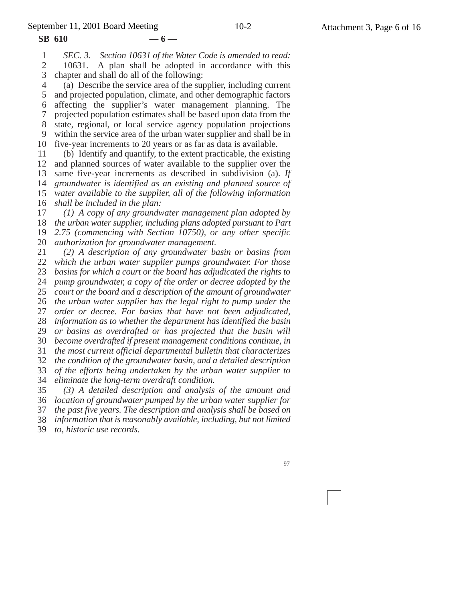**SB 610 — 6 —**

1 2 3 *SEC. 3. Section 10631 of the Water Code is amended to read:* 10631. A plan shall be adopted in accordance with this chapter and shall do all of the following:

4 5 6 7 8 9 10 (a) Describe the service area of the supplier, including current and projected population, climate, and other demographic factors affecting the supplier's water management planning. The projected population estimates shall be based upon data from the state, regional, or local service agency population projections within the service area of the urban water supplier and shall be in five-year increments to 20 years or as far as data is available.

11 12 13 14 15 16 (b) Identify and quantify, to the extent practicable, the existing and planned sources of water available to the supplier over the same five-year increments as described in subdivision (a). *If groundwater is identified as an existing and planned source of water available to the supplier, all of the following information shall be included in the plan:*

17 18 *the urban water supplier, including plans adopted pursuant to Part* 19 20 *(1) A copy of any groundwater management plan adopted by 2.75 (commencing with Section 10750), or any other specific authorization for groundwater management.*

21 22 23 24 25 26 27 28 29 30 31 32 33 34 *(2) A description of any groundwater basin or basins from which the urban water supplier pumps groundwater. For those basins for which a court or the board has adjudicated the rights to pump groundwater, a copy of the order or decree adopted by the court or the board and a description of the amount of groundwater the urban water supplier has the legal right to pump under the order or decree. For basins that have not been adjudicated, information as to whether the department has identified the basin or basins as overdrafted or has projected that the basin will become overdrafted if present management conditions continue, in the most current official departmental bulletin that characterizes the condition of the groundwater basin, and a detailed description of the efforts being undertaken by the urban water supplier to eliminate the long-term overdraft condition.*

35 36 *location of groundwater pumped by the urban water supplier for* 37 38 39 *(3) A detailed description and analysis of the amount and the past five years. The description and analysis shall be based on information that is reasonably available, including, but not limited to, historic use records.*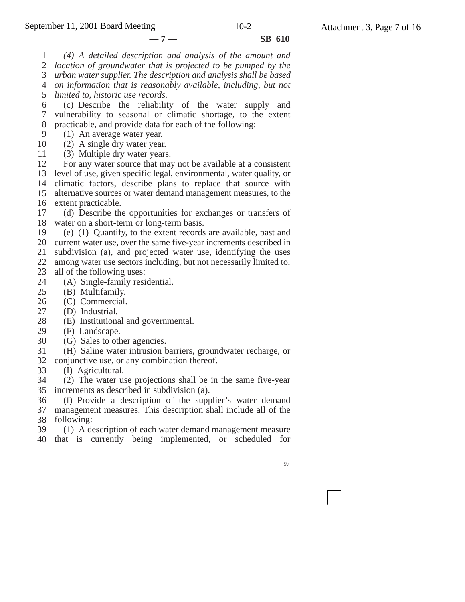**—7— SB 610**

1 *(4) A detailed description and analysis of the amount and*

2 *location of groundwater that is projected to be pumped by the*

3 *urban water supplier. The description and analysis shall be based*

4 *on information that is reasonably available, including, but not*

5 *limited to, historic use records.*

6 7 8 (c) Describe the reliability of the water supply and vulnerability to seasonal or climatic shortage, to the extent practicable, and provide data for each of the following:

9 (1) An average water year.

10 (2) A single dry water year.

11 (3) Multiple dry water years.

12 13 14 climatic factors, describe plans to replace that source with 15 16 extent practicable. For any water source that may not be available at a consistent level of use, given specific legal, environmental, water quality, or alternative sources or water demand management measures, to the

17 18 water on a short-term or long-term basis. (d) Describe the opportunities for exchanges or transfers of

19 (e) (1) Quantify, to the extent records are available, past and

20 current water use, over the same five-year increments described in 21 subdivision (a), and projected water use, identifying the uses

22 among water use sectors including, but not necessarily limited to,

23 all of the following uses:

- 24 (A) Single-family residential.
- 25 (B) Multifamily.
- 26 (C) Commercial.
- 27 (D) Industrial.
- 28 (E) Institutional and governmental.
- 29 (F) Landscape.
- 30 (G) Sales to other agencies.

31 (H) Saline water intrusion barriers, groundwater recharge, or

- 32 conjunctive use, or any combination thereof.
- 33 (I) Agricultural.

34 35 increments as described in subdivision (a). (2) The water use projections shall be in the same five-year

36 37 management measures. This description shall include all of the (f) Provide a description of the supplier's water demand

38 following:

39 (1) A description of each water demand management measure

40 that is currently being implemented, or scheduled for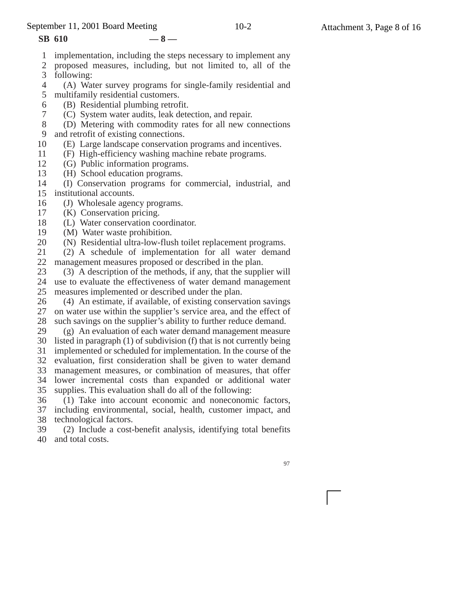September 11, 2001 Board Meeting 10-2 Attachment 3, Page 8 of 16

- **SB 610 8 —**
- 1 implementation, including the steps necessary to implement any
- 2 3 proposed measures, including, but not limited to, all of the following:
- 4 (A) Water survey programs for single-family residential and
- 5 multifamily residential customers.
- 6 7 (B) Residential plumbing retrofit.
	- (C) System water audits, leak detection, and repair.
- 8 (D) Metering with commodity rates for all new connections
- 9 and retrofit of existing connections.
- 10 (E) Large landscape conservation programs and incentives.
- 11 (F) High-efficiency washing machine rebate programs.
- 12 (G) Public information programs.
- 13 (H) School education programs.
- 14 15 institutional accounts. (I) Conservation programs for commercial, industrial, and
- 16 (J) Wholesale agency programs.
- 17 (K) Conservation pricing.
- 18 (L) Water conservation coordinator.
- 19 (M) Water waste prohibition.
- 20 (N) Residential ultra-low-flush toilet replacement programs.
- 21 22 (2) A schedule of implementation for all water demand management measures proposed or described in the plan.
- 23 (3) A description of the methods, if any, that the supplier will
- 24 use to evaluate the effectiveness of water demand management 25 measures implemented or described under the plan.
- 26 27 28 (4) An estimate, if available, of existing conservation savings on water use within the supplier's service area, and the effect of such savings on the supplier's ability to further reduce demand.
- 29 (g) An evaluation of each water demand management measure
- 30 31 listed in paragraph (1) of subdivision (f) that is not currently being implemented or scheduled for implementation. In the course of the
- 32 evaluation, first consideration shall be given to water demand
- 33 management measures, or combination of measures, that offer
- 34 35 lower incremental costs than expanded or additional water supplies. This evaluation shall do all of the following:
- 36 (1) Take into account economic and noneconomic factors,
- 37 including environmental, social, health, customer impact, and 38 technological factors.
- 39 40 (2) Include a cost-benefit analysis, identifying total benefits and total costs.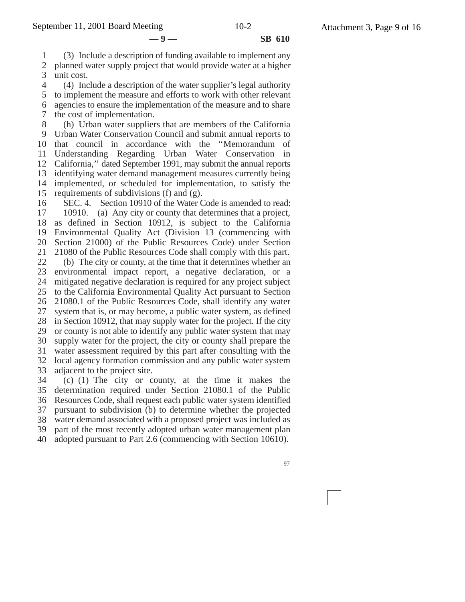**—9— SB 610**

1 2 3 (3) Include a description of funding available to implement any planned water supply project that would provide water at a higher unit cost.

4 5 6 7 (4) Include a description of the water supplier's legal authority to implement the measure and efforts to work with other relevant agencies to ensure the implementation of the measure and to share the cost of implementation.

8 9 10 11 12 13 14 15 (h) Urban water suppliers that are members of the California Urban Water Conservation Council and submit annual reports to that council in accordance with the ''Memorandum of Understanding Regarding Urban Water Conservation in California,'' dated September 1991, may submit the annual reports identifying water demand management measures currently being implemented, or scheduled for implementation, to satisfy the requirements of subdivisions (f) and (g).

16 17 18 19 20 21 22 23 24 25 26 27 28 29 30 31 32 33 34 SEC. 4. Section 10910 of the Water Code is amended to read: 10910. (a) Any city or county that determines that a project, as defined in Section 10912, is subject to the California Environmental Quality Act (Division 13 (commencing with Section 21000) of the Public Resources Code) under Section 21080 of the Public Resources Code shall comply with this part. (b) The city or county, at the time that it determines whether an environmental impact report, a negative declaration, or a mitigated negative declaration is required for any project subject to the California Environmental Quality Act pursuant to Section 21080.1 of the Public Resources Code, shall identify any water system that is, or may become, a public water system, as defined in Section 10912, that may supply water for the project. If the city or county is not able to identify any public water system that may supply water for the project, the city or county shall prepare the water assessment required by this part after consulting with the local agency formation commission and any public water system adjacent to the project site.

35 36 37 38 39 40 (c) (1) The city or county, at the time it makes the determination required under Section 21080.1 of the Public Resources Code, shall request each public water system identified pursuant to subdivision (b) to determine whether the projected water demand associated with a proposed project was included as part of the most recently adopted urban water management plan adopted pursuant to Part 2.6 (commencing with Section 10610).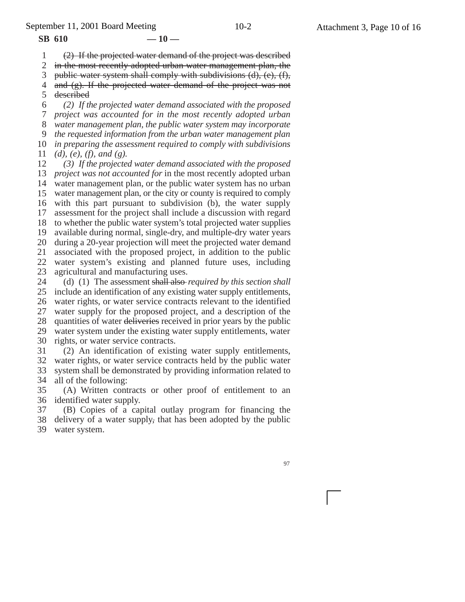September 11, 2001 Board Meeting 10-2 Attachment 3, Page 10 of 16

 $SB$  610  $-10$  —

1 2 (2) If the projected water demand of the project was described in the most recently adopted urban water management plan, the

3 public water system shall comply with subdivisions (d), (e), (f),

4 and (g). If the projected water demand of the project was not

5 described

6 7 8 9 10 11 *(2) If the projected water demand associated with the proposed project was accounted for in the most recently adopted urban water management plan, the public water system may incorporate the requested information from the urban water management plan in preparing the assessment required to comply with subdivisions (d), (e), (f), and (g).*

12 13 *project was not accounted for* in the most recently adopted urban 14 water management plan, or the public water system has no urban 15 16 17 18 19 20 21 22 23 *(3) If the projected water demand associated with the proposed* water management plan, or the city or county is required to comply with this part pursuant to subdivision (b), the water supply assessment for the project shall include a discussion with regard to whether the public water system's total projected water supplies available during normal, single-dry, and multiple-dry water years during a 20-year projection will meet the projected water demand associated with the proposed project, in addition to the public water system's existing and planned future uses, including agricultural and manufacturing uses.

24 25 26 27 28 29 30 (d) (1) The assessment shall also *required by this section shall* include an identification of any existing water supply entitlements, water rights, or water service contracts relevant to the identified water supply for the proposed project, and a description of the quantities of water deliveries received in prior years by the public water system under the existing water supply entitlements, water rights, or water service contracts.

31 32 33 34 (2) An identification of existing water supply entitlements, water rights, or water service contracts held by the public water system shall be demonstrated by providing information related to all of the following:

35 36 identified water supply. (A) Written contracts or other proof of entitlement to an

37 38 (B) Copies of a capital outlay program for financing the delivery of a water supply, that has been adopted by the public

39 water system.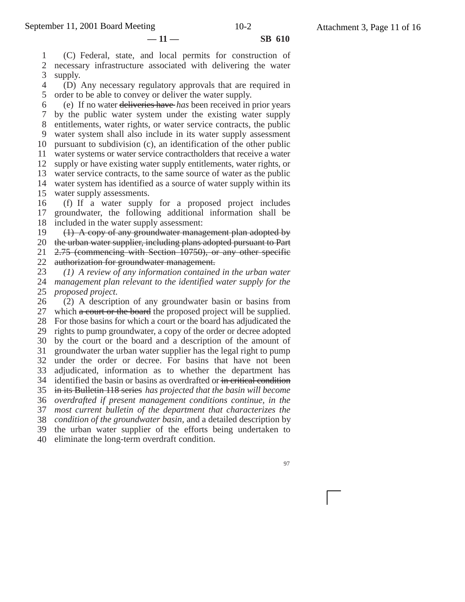$-11 -$  **SB 610** 

1 2 3 (C) Federal, state, and local permits for construction of necessary infrastructure associated with delivering the water supply.

4 5 (D) Any necessary regulatory approvals that are required in order to be able to convey or deliver the water supply.

6 7 8 9 10 11 12 13 14 15 (e) If no water deliveries have *has* been received in prior years by the public water system under the existing water supply entitlements, water rights, or water service contracts, the public water system shall also include in its water supply assessment pursuant to subdivision (c), an identification of the other public water systems or water service contractholders that receive a water supply or have existing water supply entitlements, water rights, or water service contracts, to the same source of water as the public water system has identified as a source of water supply within its water supply assessments.

16 17 18 (f) If a water supply for a proposed project includes groundwater, the following additional information shall be included in the water supply assessment:

19 (1) A copy of any groundwater management plan adopted by

20 the urban water supplier, including plans adopted pursuant to Part 21 2.75 (commencing with Section 10750), or any other specific

22 authorization for groundwater management.

23 24 25 *(1) A review of any information contained in the urban water management plan relevant to the identified water supply for the proposed project.*

26 27 28 29 30 31 32 33 34 identified the basin or basins as overdrafted or in critical condition 35 36 *overdrafted if present management conditions continue, in the* 37 38 39 (2) A description of any groundwater basin or basins from which a court or the board the proposed project will be supplied. For those basins for which a court or the board has adjudicated the rights to pump groundwater, a copy of the order or decree adopted by the court or the board and a description of the amount of groundwater the urban water supplier has the legal right to pump under the order or decree. For basins that have not been adjudicated, information as to whether the department has in its Bulletin 118 series *has projected that the basin will become most current bulletin of the department that characterizes the condition of the groundwater basin,* and a detailed description by the urban water supplier of the efforts being undertaken to

40 eliminate the long-term overdraft condition.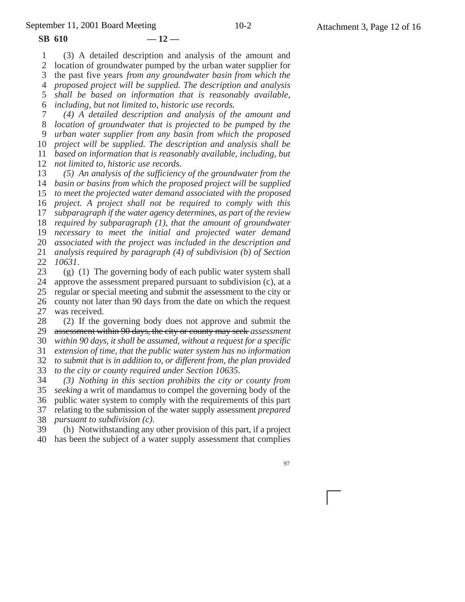**SB 610 — 12 —**

1 2 (3) A detailed description and analysis of the amount and location of groundwater pumped by the urban water supplier for

3 the past five years *from any groundwater basin from which the*

4 *proposed project will be supplied. The description and analysis*

5 *shall be based on information that is reasonably available,*

6 *including, but not limited to, historic use records.*

7 8 9 10 11 12 *(4) A detailed description and analysis of the amount and location of groundwater that is projected to be pumped by the urban water supplier from any basin from which the proposed project will be supplied. The description and analysis shall be based on information that is reasonably available, including, but not limited to, historic use records.*

13 14 *basin or basins from which the proposed project will be supplied* 15 16 17 18 19 20 21 22 *(5) An analysis of the sufficiency of the groundwater from the to meet the projected water demand associated with the proposed project. A project shall not be required to comply with this subparagraph if the water agency determines, as part of the review required by subparagraph (1), that the amount of groundwater necessary to meet the initial and projected water demand associated with the project was included in the description and analysis required by paragraph (4) of subdivision (b) of Section 10631*.

23 24 25 26 27 (g) (1) The governing body of each public water system shall approve the assessment prepared pursuant to subdivision (c), at a regular or special meeting and submit the assessment to the city or county not later than 90 days from the date on which the request was received.

28 29 (2) If the governing body does not approve and submit the assessment within 90 days, the city or county may seek *assessment*

30 31 *within 90 days, it shall be assumed, without a request for a specific extension of time, that the public water system has no information*

32 *to submit that is in addition to, or different from, the plan provided*

33 *to the city or county required under Section 10635.*

34 *(3) Nothing in this section prohibits the city or county from*

35 36 *seeking* a writ of mandamus to compel the governing body of the public water system to comply with the requirements of this part

37 38 relating to the submission of the water supply assessment *prepared pursuant to subdivision (c)*.

39 40 (h) Notwithstanding any other provision of this part, if a project has been the subject of a water supply assessment that complies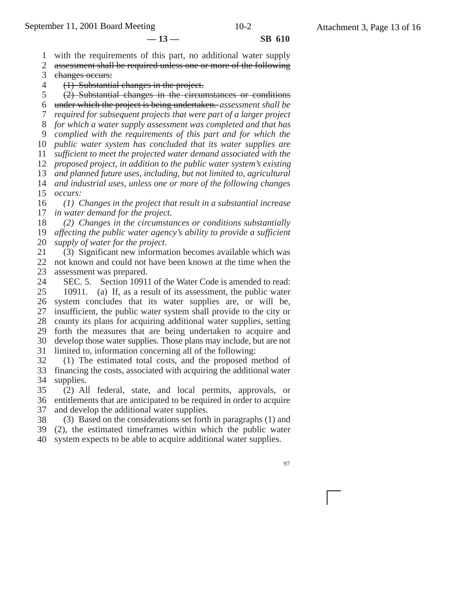**— 13 — SB 610**

1 with the requirements of this part, no additional water supply

2 assessment shall be required unless one or more of the following

3 changes occurs:

4 (1) Substantial changes in the project.

5 (2) Substantial changes in the circumstances or conditions

6 under which the project is being undertaken. *assessment shall be*

7 *required for subsequent projects that were part of a larger project*

8 *for which a water supply assessment was completed and that has*

9 *complied with the requirements of this part and for which the*

10 *public water system has concluded that its water supplies are*

11 *sufficient to meet the projected water demand associated with the proposed project, in addition to the public water system's existing*

12 13 *and planned future uses, including, but not limited to, agricultural*

14 15 *and industrial uses, unless one or more of the following changes occurs:*

16 17 *(1) Changes in the project that result in a substantial increase in water demand for the project.*

18 19 *(2) Changes in the circumstances or conditions substantially affecting the public water agency's ability to provide a sufficient*

20 *supply of water for the project.*

21 22 23 (3) Significant new information becomes available which was not known and could not have been known at the time when the assessment was prepared.

24 25 26 27 28 29 30 31 SEC. 5. Section 10911 of the Water Code is amended to read: 10911. (a) If, as a result of its assessment, the public water system concludes that its water supplies are, or will be, insufficient, the public water system shall provide to the city or county its plans for acquiring additional water supplies, setting forth the measures that are being undertaken to acquire and develop those water supplies. Those plans may include, but are not limited to, information concerning all of the following:

32 33 34 (1) The estimated total costs, and the proposed method of financing the costs, associated with acquiring the additional water supplies.

35 36 37 (2) All federal, state, and local permits, approvals, or entitlements that are anticipated to be required in order to acquire and develop the additional water supplies.

38 (3) Based on the considerations set forth in paragraphs (1) and

39 (2), the estimated timeframes within which the public water

40 system expects to be able to acquire additional water supplies.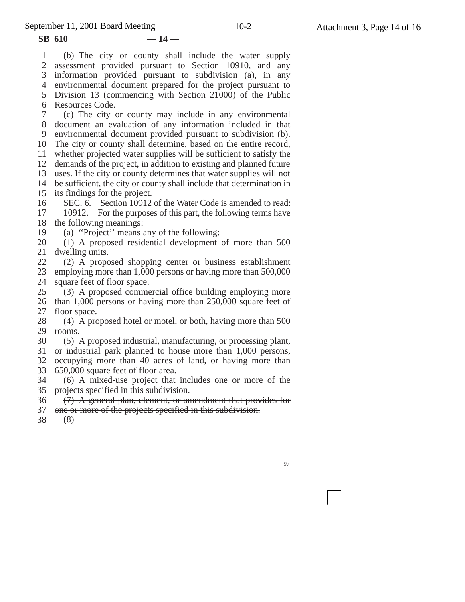**SB 610 — 14 —**

1 2 3 4 environmental document prepared for the project pursuant to 5 Division 13 (commencing with Section 21000) of the Public 6 Resources Code. 7 8 9 10 The city or county shall determine, based on the entire record, 11 12 13 14 be sufficient, the city or county shall include that determination in 15 its findings for the project. 16 17 18 19 20 21 22 23 24 25 26 27 28 29 rooms. 30 31 32 33 34 35 36 37 (b) The city or county shall include the water supply assessment provided pursuant to Section 10910, and any information provided pursuant to subdivision (a), in any (c) The city or county may include in any environmental document an evaluation of any information included in that environmental document provided pursuant to subdivision (b). whether projected water supplies will be sufficient to satisfy the demands of the project, in addition to existing and planned future uses. If the city or county determines that water supplies will not SEC. 6. Section 10912 of the Water Code is amended to read: 10912. For the purposes of this part, the following terms have the following meanings: (a) ''Project'' means any of the following: (1) A proposed residential development of more than 500 dwelling units. (2) A proposed shopping center or business establishment employing more than 1,000 persons or having more than 500,000 square feet of floor space. (3) A proposed commercial office building employing more than 1,000 persons or having more than 250,000 square feet of floor space. (4) A proposed hotel or motel, or both, having more than 500 (5) A proposed industrial, manufacturing, or processing plant, or industrial park planned to house more than 1,000 persons, occupying more than 40 acres of land, or having more than 650,000 square feet of floor area. (6) A mixed-use project that includes one or more of the projects specified in this subdivision. (7) A general plan, element, or amendment that provides for one or more of the projects specified in this subdivision.

38  $(8)$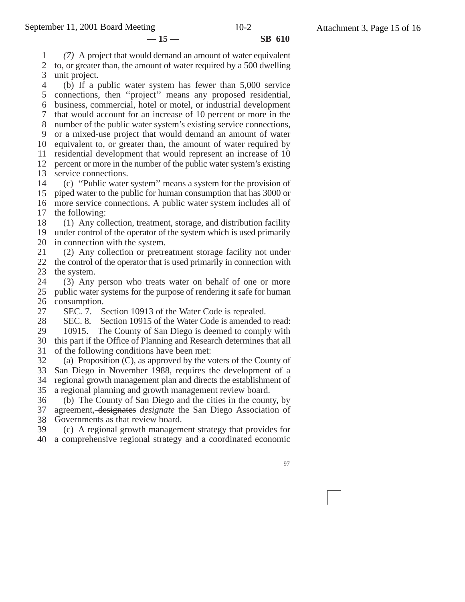**— 15 — SB 610**

1 2 3 *(7)* A project that would demand an amount of water equivalent to, or greater than, the amount of water required by a 500 dwelling unit project.

4 5 connections, then ''project'' means any proposed residential, 6 7 8 9 10 11 12 13 14 15 (b) If a public water system has fewer than 5,000 service business, commercial, hotel or motel, or industrial development that would account for an increase of 10 percent or more in the number of the public water system's existing service connections, or a mixed-use project that would demand an amount of water equivalent to, or greater than, the amount of water required by residential development that would represent an increase of 10 percent or more in the number of the public water system's existing service connections. (c) ''Public water system'' means a system for the provision of piped water to the public for human consumption that has 3000 or

16 17 more service connections. A public water system includes all of the following:

18 (1) Any collection, treatment, storage, and distribution facility

19 20 under control of the operator of the system which is used primarily in connection with the system.

21 22 23 (2) Any collection or pretreatment storage facility not under the control of the operator that is used primarily in connection with the system.

24 25 26 (3) Any person who treats water on behalf of one or more public water systems for the purpose of rendering it safe for human consumption.

27 SEC. 7. Section 10913 of the Water Code is repealed.

28 SEC. 8. Section 10915 of the Water Code is amended to read:

29 30 31 10915. The County of San Diego is deemed to comply with this part if the Office of Planning and Research determines that all of the following conditions have been met:

32 (a) Proposition (C), as approved by the voters of the County of

33 San Diego in November 1988, requires the development of a

34 35 regional growth management plan and directs the establishment of a regional planning and growth management review board.

36 (b) The County of San Diego and the cities in the county, by

37 agreement, designates *designate* the San Diego Association of

38 Governments as that review board.

39 40 (c) A regional growth management strategy that provides for a comprehensive regional strategy and a coordinated economic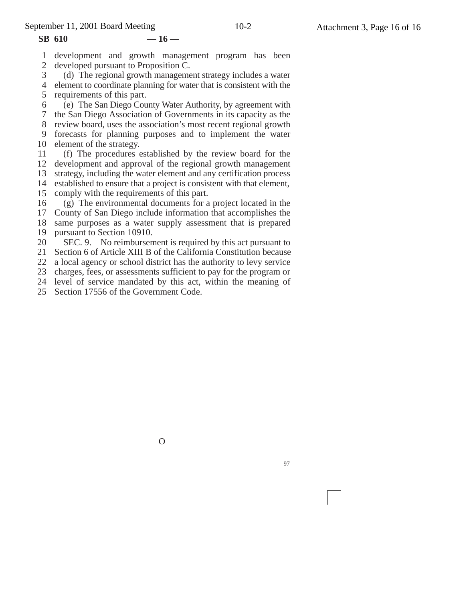#### **SB 610 — 16 —**

1 2 development and growth management program has been developed pursuant to Proposition C.

3 4 (d) The regional growth management strategy includes a water element to coordinate planning for water that is consistent with the

5 6 7 8 9 requirements of this part. (e) The San Diego County Water Authority, by agreement with the San Diego Association of Governments in its capacity as the review board, uses the association's most recent regional growth forecasts for planning purposes and to implement the water

10 element of the strategy.

11 12 (f) The procedures established by the review board for the development and approval of the regional growth management

- 13 strategy, including the water element and any certification process
- 14 established to ensure that a project is consistent with that element,
- 15 comply with the requirements of this part.

16 (g) The environmental documents for a project located in the

17 County of San Diego include information that accomplishes the

18 same purposes as a water supply assessment that is prepared

19 pursuant to Section 10910.

20 SEC. 9. No reimbursement is required by this act pursuant to

21 Section 6 of Article XIII B of the California Constitution because

22 a local agency or school district has the authority to levy service

- 23 charges, fees, or assessments sufficient to pay for the program or
- 24 level of service mandated by this act, within the meaning of
- 25 Section 17556 of the Government Code.

O